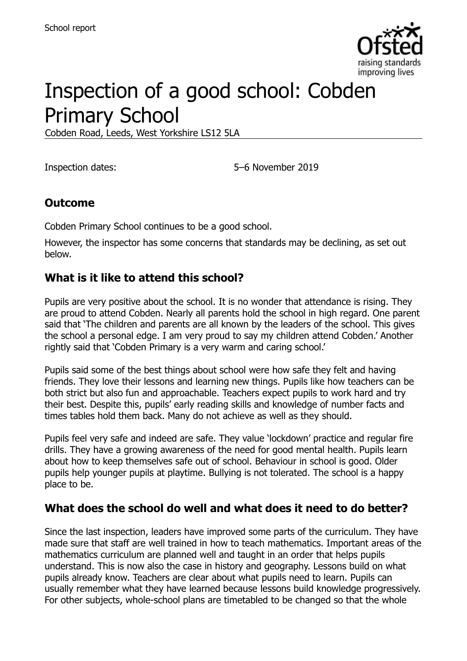

# Inspection of a good school: Cobden Primary School

Cobden Road, Leeds, West Yorkshire LS12 5LA

Inspection dates: 5–6 November 2019

#### **Outcome**

Cobden Primary School continues to be a good school.

However, the inspector has some concerns that standards may be declining, as set out below.

#### **What is it like to attend this school?**

Pupils are very positive about the school. It is no wonder that attendance is rising. They are proud to attend Cobden. Nearly all parents hold the school in high regard. One parent said that 'The children and parents are all known by the leaders of the school. This gives the school a personal edge. I am very proud to say my children attend Cobden.' Another rightly said that 'Cobden Primary is a very warm and caring school.'

Pupils said some of the best things about school were how safe they felt and having friends. They love their lessons and learning new things. Pupils like how teachers can be both strict but also fun and approachable. Teachers expect pupils to work hard and try their best. Despite this, pupils' early reading skills and knowledge of number facts and times tables hold them back. Many do not achieve as well as they should.

Pupils feel very safe and indeed are safe. They value 'lockdown' practice and regular fire drills. They have a growing awareness of the need for good mental health. Pupils learn about how to keep themselves safe out of school. Behaviour in school is good. Older pupils help younger pupils at playtime. Bullying is not tolerated. The school is a happy place to be.

#### **What does the school do well and what does it need to do better?**

Since the last inspection, leaders have improved some parts of the curriculum. They have made sure that staff are well trained in how to teach mathematics. Important areas of the mathematics curriculum are planned well and taught in an order that helps pupils understand. This is now also the case in history and geography. Lessons build on what pupils already know. Teachers are clear about what pupils need to learn. Pupils can usually remember what they have learned because lessons build knowledge progressively. For other subjects, whole-school plans are timetabled to be changed so that the whole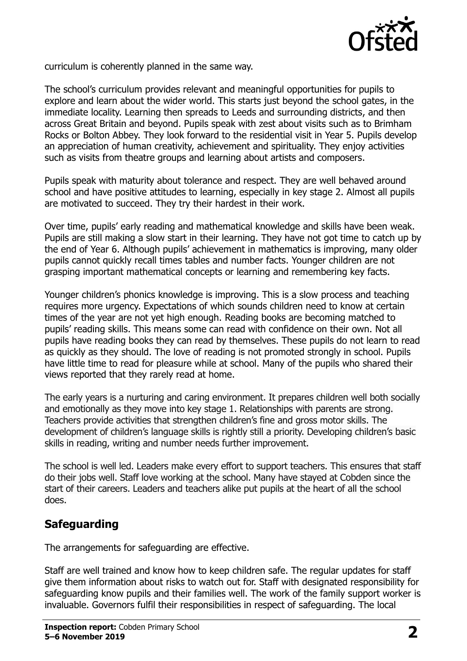

curriculum is coherently planned in the same way.

The school's curriculum provides relevant and meaningful opportunities for pupils to explore and learn about the wider world. This starts just beyond the school gates, in the immediate locality. Learning then spreads to Leeds and surrounding districts, and then across Great Britain and beyond. Pupils speak with zest about visits such as to Brimham Rocks or Bolton Abbey. They look forward to the residential visit in Year 5. Pupils develop an appreciation of human creativity, achievement and spirituality. They enjoy activities such as visits from theatre groups and learning about artists and composers.

Pupils speak with maturity about tolerance and respect. They are well behaved around school and have positive attitudes to learning, especially in key stage 2. Almost all pupils are motivated to succeed. They try their hardest in their work.

Over time, pupils' early reading and mathematical knowledge and skills have been weak. Pupils are still making a slow start in their learning. They have not got time to catch up by the end of Year 6. Although pupils' achievement in mathematics is improving, many older pupils cannot quickly recall times tables and number facts. Younger children are not grasping important mathematical concepts or learning and remembering key facts.

Younger children's phonics knowledge is improving. This is a slow process and teaching requires more urgency. Expectations of which sounds children need to know at certain times of the year are not yet high enough. Reading books are becoming matched to pupils' reading skills. This means some can read with confidence on their own. Not all pupils have reading books they can read by themselves. These pupils do not learn to read as quickly as they should. The love of reading is not promoted strongly in school. Pupils have little time to read for pleasure while at school. Many of the pupils who shared their views reported that they rarely read at home.

The early years is a nurturing and caring environment. It prepares children well both socially and emotionally as they move into key stage 1. Relationships with parents are strong. Teachers provide activities that strengthen children's fine and gross motor skills. The development of children's language skills is rightly still a priority. Developing children's basic skills in reading, writing and number needs further improvement.

The school is well led. Leaders make every effort to support teachers. This ensures that staff do their jobs well. Staff love working at the school. Many have stayed at Cobden since the start of their careers. Leaders and teachers alike put pupils at the heart of all the school does.

#### **Safeguarding**

The arrangements for safeguarding are effective.

Staff are well trained and know how to keep children safe. The regular updates for staff give them information about risks to watch out for. Staff with designated responsibility for safeguarding know pupils and their families well. The work of the family support worker is invaluable. Governors fulfil their responsibilities in respect of safeguarding. The local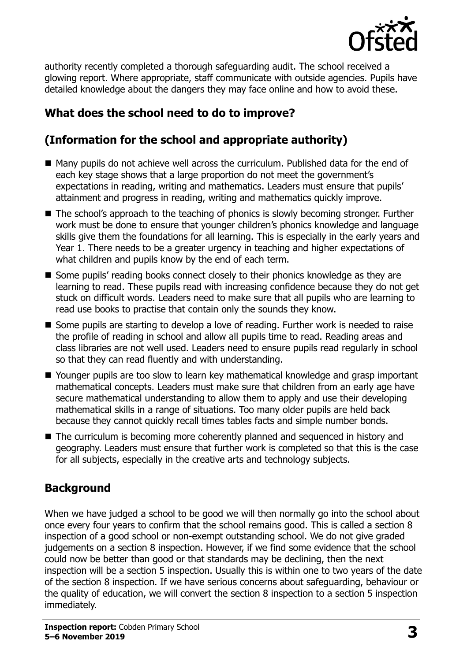

authority recently completed a thorough safeguarding audit. The school received a glowing report. Where appropriate, staff communicate with outside agencies. Pupils have detailed knowledge about the dangers they may face online and how to avoid these.

# **What does the school need to do to improve?**

# **(Information for the school and appropriate authority)**

- Many pupils do not achieve well across the curriculum. Published data for the end of each key stage shows that a large proportion do not meet the government's expectations in reading, writing and mathematics. Leaders must ensure that pupils' attainment and progress in reading, writing and mathematics quickly improve.
- The school's approach to the teaching of phonics is slowly becoming stronger. Further work must be done to ensure that younger children's phonics knowledge and language skills give them the foundations for all learning. This is especially in the early years and Year 1. There needs to be a greater urgency in teaching and higher expectations of what children and pupils know by the end of each term.
- Some pupils' reading books connect closely to their phonics knowledge as they are learning to read. These pupils read with increasing confidence because they do not get stuck on difficult words. Leaders need to make sure that all pupils who are learning to read use books to practise that contain only the sounds they know.
- Some pupils are starting to develop a love of reading. Further work is needed to raise the profile of reading in school and allow all pupils time to read. Reading areas and class libraries are not well used. Leaders need to ensure pupils read regularly in school so that they can read fluently and with understanding.
- Younger pupils are too slow to learn key mathematical knowledge and grasp important mathematical concepts. Leaders must make sure that children from an early age have secure mathematical understanding to allow them to apply and use their developing mathematical skills in a range of situations. Too many older pupils are held back because they cannot quickly recall times tables facts and simple number bonds.
- The curriculum is becoming more coherently planned and sequenced in history and geography. Leaders must ensure that further work is completed so that this is the case for all subjects, especially in the creative arts and technology subjects.

# **Background**

When we have judged a school to be good we will then normally go into the school about once every four years to confirm that the school remains good. This is called a section 8 inspection of a good school or non-exempt outstanding school. We do not give graded judgements on a section 8 inspection. However, if we find some evidence that the school could now be better than good or that standards may be declining, then the next inspection will be a section 5 inspection. Usually this is within one to two years of the date of the section 8 inspection. If we have serious concerns about safeguarding, behaviour or the quality of education, we will convert the section 8 inspection to a section 5 inspection immediately.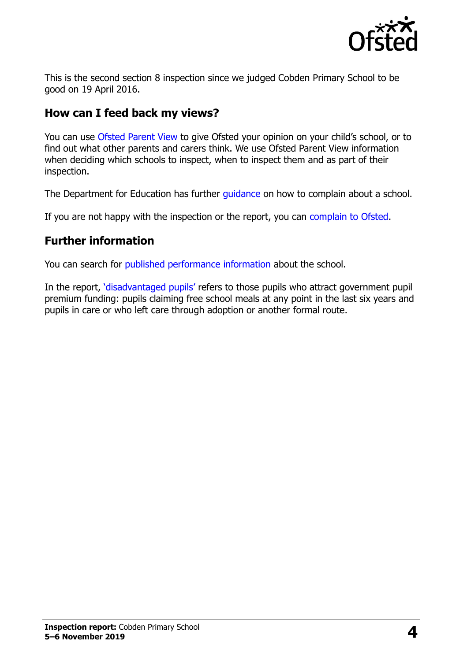

This is the second section 8 inspection since we judged Cobden Primary School to be good on 19 April 2016.

# **How can I feed back my views?**

You can use [Ofsted Parent View](https://parentview.ofsted.gov.uk/) to give Ofsted your opinion on your child's school, or to find out what other parents and carers think. We use Ofsted Parent View information when deciding which schools to inspect, when to inspect them and as part of their inspection.

The Department for Education has further quidance on how to complain about a school.

If you are not happy with the inspection or the report, you can [complain to Ofsted.](https://www.gov.uk/complain-ofsted-report)

# **Further information**

You can search for [published performance information](http://www.compare-school-performance.service.gov.uk/) about the school.

In the report, '[disadvantaged pupils](http://www.gov.uk/guidance/pupil-premium-information-for-schools-and-alternative-provision-settings)' refers to those pupils who attract government pupil premium funding: pupils claiming free school meals at any point in the last six years and pupils in care or who left care through adoption or another formal route.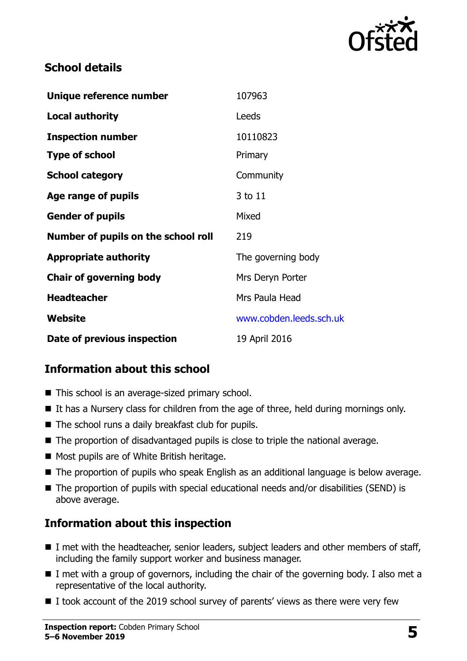

#### **School details**

| Unique reference number             | 107963                  |
|-------------------------------------|-------------------------|
| <b>Local authority</b>              | Leeds                   |
| <b>Inspection number</b>            | 10110823                |
| <b>Type of school</b>               | Primary                 |
| <b>School category</b>              | Community               |
| Age range of pupils                 | 3 to 11                 |
| <b>Gender of pupils</b>             | Mixed                   |
| Number of pupils on the school roll | 219                     |
| <b>Appropriate authority</b>        | The governing body      |
| <b>Chair of governing body</b>      | Mrs Deryn Porter        |
| <b>Headteacher</b>                  | Mrs Paula Head          |
| Website                             | www.cobden.leeds.sch.uk |
| Date of previous inspection         | 19 April 2016           |

# **Information about this school**

- This school is an average-sized primary school.
- $\blacksquare$  It has a Nursery class for children from the age of three, held during mornings only.
- $\blacksquare$  The school runs a daily breakfast club for pupils.
- The proportion of disadvantaged pupils is close to triple the national average.
- Most pupils are of White British heritage.
- The proportion of pupils who speak English as an additional language is below average.
- The proportion of pupils with special educational needs and/or disabilities (SEND) is above average.

# **Information about this inspection**

- I met with the headteacher, senior leaders, subject leaders and other members of staff, including the family support worker and business manager.
- $\blacksquare$  I met with a group of governors, including the chair of the governing body. I also met a representative of the local authority.
- $\blacksquare$  I took account of the 2019 school survey of parents' views as there were very few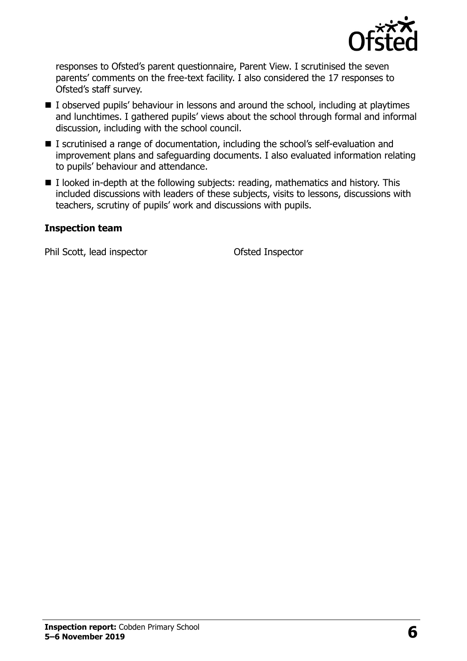

responses to Ofsted's parent questionnaire, Parent View. I scrutinised the seven parents' comments on the free-text facility. I also considered the 17 responses to Ofsted's staff survey.

- I observed pupils' behaviour in lessons and around the school, including at playtimes and lunchtimes. I gathered pupils' views about the school through formal and informal discussion, including with the school council.
- I scrutinised a range of documentation, including the school's self-evaluation and improvement plans and safeguarding documents. I also evaluated information relating to pupils' behaviour and attendance.
- $\blacksquare$  I looked in-depth at the following subjects: reading, mathematics and history. This included discussions with leaders of these subjects, visits to lessons, discussions with teachers, scrutiny of pupils' work and discussions with pupils.

#### **Inspection team**

Phil Scott, lead inspector **Ofsted Inspector**